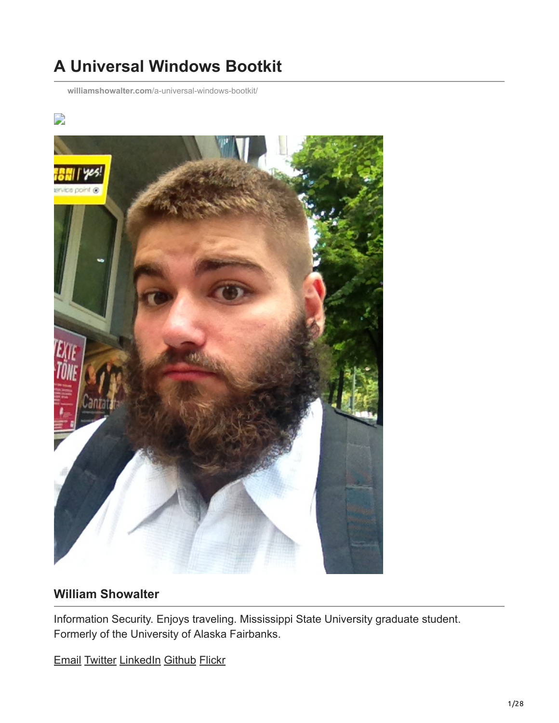# **A Universal Windows Bootkit**

**williamshowalter.com**[/a-universal-windows-bootkit/](http://williamshowalter.com/a-universal-windows-bootkit/)

#### $\overline{\phantom{a}}$



#### **William Showalter**

Information Security. Enjoys traveling. Mississippi State University graduate student. Formerly of the University of Alaska Fairbanks.

[Email](http://10.10.0.46/mailto:williamshowalter@gmail.com) [Twitter](http://twitter.com/willshowalter) [LinkedIn](http://linkedin.com/in/williamshowalter) [Github](http://github.com/williamshowalter) [Flickr](http://www.flickr.com/williamshowalter)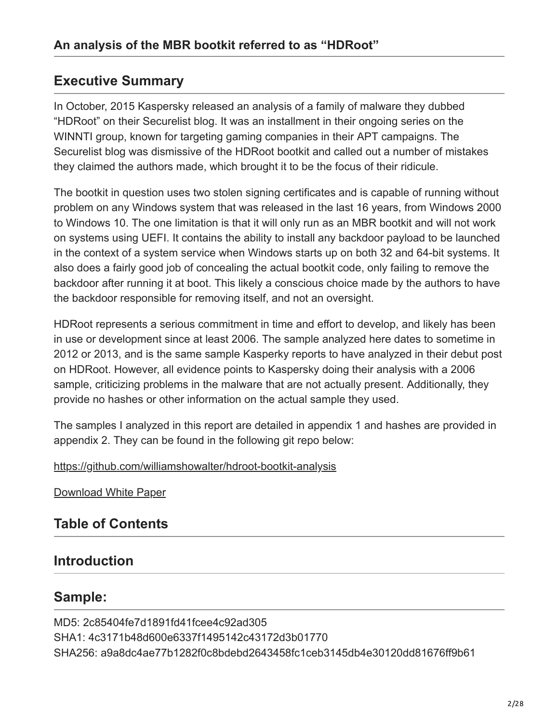#### **Executive Summary**

In October, 2015 Kaspersky released an analysis of a family of malware they dubbed "HDRoot" on their Securelist blog. It was an installment in their ongoing series on the WINNTI group, known for targeting gaming companies in their APT campaigns. The Securelist blog was dismissive of the HDRoot bootkit and called out a number of mistakes they claimed the authors made, which brought it to be the focus of their ridicule.

The bootkit in question uses two stolen signing certificates and is capable of running without problem on any Windows system that was released in the last 16 years, from Windows 2000 to Windows 10. The one limitation is that it will only run as an MBR bootkit and will not work on systems using UEFI. It contains the ability to install any backdoor payload to be launched in the context of a system service when Windows starts up on both 32 and 64-bit systems. It also does a fairly good job of concealing the actual bootkit code, only failing to remove the backdoor after running it at boot. This likely a conscious choice made by the authors to have the backdoor responsible for removing itself, and not an oversight.

HDRoot represents a serious commitment in time and effort to develop, and likely has been in use or development since at least 2006. The sample analyzed here dates to sometime in 2012 or 2013, and is the same sample Kasperky reports to have analyzed in their debut post on HDRoot. However, all evidence points to Kaspersky doing their analysis with a 2006 sample, criticizing problems in the malware that are not actually present. Additionally, they provide no hashes or other information on the actual sample they used.

The samples I analyzed in this report are detailed in appendix 1 and hashes are provided in appendix 2. They can be found in the following git repo below:

<https://github.com/williamshowalter/hdroot-bootkit-analysis>

[Download White Paper](https://williamshowalter.com/assets/a-universal-windows-bootkit/A%20Universal%20Windows%20Bootkit.pdf)

#### **Table of Contents**

#### **Introduction**

#### **Sample:**

MD5: 2c85404fe7d1891fd41fcee4c92ad305 SHA1: 4c3171b48d600e6337f1495142c43172d3b01770 SHA256: a9a8dc4ae77b1282f0c8bdebd2643458fc1ceb3145db4e30120dd81676ff9b61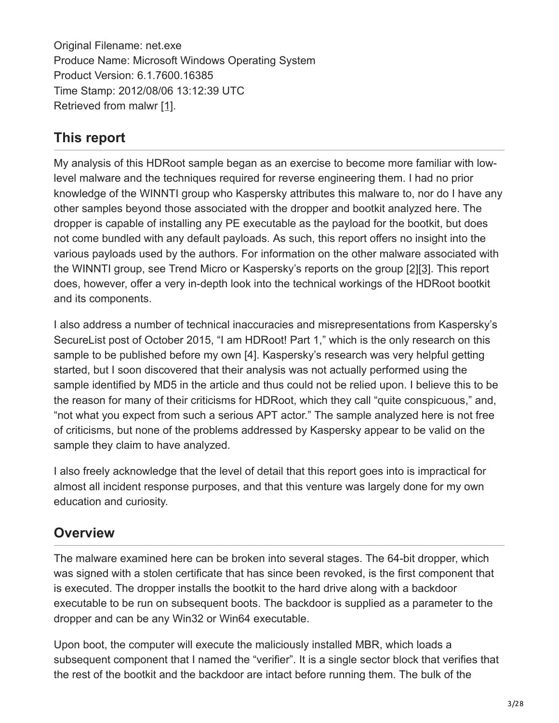Original Filename: net.exe Produce Name: Microsoft Windows Operating System Product Version: 6.1.7600.16385 Time Stamp: 2012/08/06 13:12:39 UTC Retrieved from malwr [1].

### **This report**

My analysis of this HDRoot sample began as an exercise to become more familiar with lowlevel malware and the techniques required for reverse engineering them. I had no prior knowledge of the WINNTI group who Kaspersky attributes this malware to, nor do I have any other samples beyond those associated with the dropper and bootkit analyzed here. The dropper is capable of installing any PE executable as the payload for the bootkit, but does not come bundled with any default payloads. As such, this report offers no insight into the various payloads used by the authors. For information on the other malware associated with the WINNTI group, see Trend Micro or Kaspersky's reports on the group [2][3]. This report does, however, offer a very in-depth look into the technical workings of the HDRoot bootkit and its components.

I also address a number of technical inaccuracies and misrepresentations from Kaspersky's SecureList post of October 2015, "I am HDRoot! Part 1," which is the only research on this sample to be published before my own [4]. Kaspersky's research was very helpful getting started, but I soon discovered that their analysis was not actually performed using the sample identified by MD5 in the article and thus could not be relied upon. I believe this to be the reason for many of their criticisms for HDRoot, which they call "quite conspicuous," and, "not what you expect from such a serious APT actor." The sample analyzed here is not free of criticisms, but none of the problems addressed by Kaspersky appear to be valid on the sample they claim to have analyzed.

I also freely acknowledge that the level of detail that this report goes into is impractical for almost all incident response purposes, and that this venture was largely done for my own education and curiosity.

### **Overview**

The malware examined here can be broken into several stages. The 64-bit dropper, which was signed with a stolen certificate that has since been revoked, is the first component that is executed. The dropper installs the bootkit to the hard drive along with a backdoor executable to be run on subsequent boots. The backdoor is supplied as a parameter to the dropper and can be any Win32 or Win64 executable.

Upon boot, the computer will execute the maliciously installed MBR, which loads a subsequent component that I named the "verifier". It is a single sector block that verifies that the rest of the bootkit and the backdoor are intact before running them. The bulk of the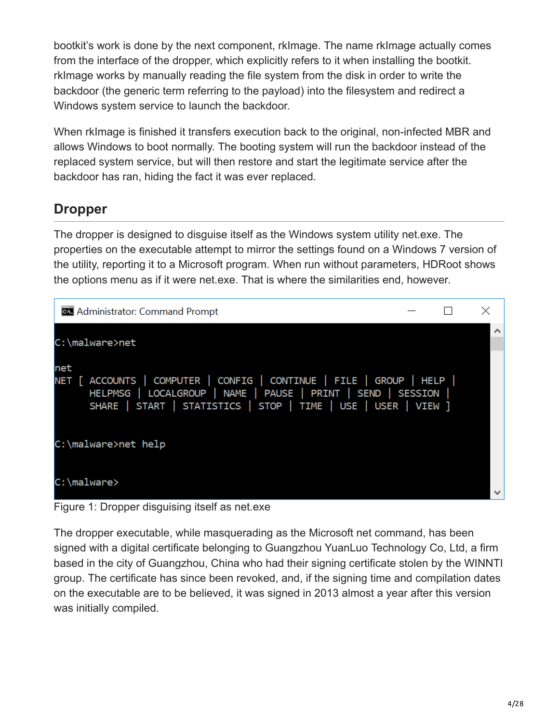bootkit's work is done by the next component, rkImage. The name rkImage actually comes from the interface of the dropper, which explicitly refers to it when installing the bootkit. rkImage works by manually reading the file system from the disk in order to write the backdoor (the generic term referring to the payload) into the filesystem and redirect a Windows system service to launch the backdoor.

When rkImage is finished it transfers execution back to the original, non-infected MBR and allows Windows to boot normally. The booting system will run the backdoor instead of the replaced system service, but will then restore and start the legitimate service after the backdoor has ran, hiding the fact it was ever replaced.

### **Dropper**

The dropper is designed to disguise itself as the Windows system utility net.exe. The properties on the executable attempt to mirror the settings found on a Windows 7 version of the utility, reporting it to a Microsoft program. When run without parameters, HDRoot shows the options menu as if it were net.exe. That is where the similarities end, however.



#### Figure 1: Dropper disguising itself as net.exe

The dropper executable, while masquerading as the Microsoft net command, has been signed with a digital certificate belonging to Guangzhou YuanLuo Technology Co, Ltd, a firm based in the city of Guangzhou, China who had their signing certificate stolen by the WINNTI group. The certificate has since been revoked, and, if the signing time and compilation dates on the executable are to be believed, it was signed in 2013 almost a year after this version was initially compiled.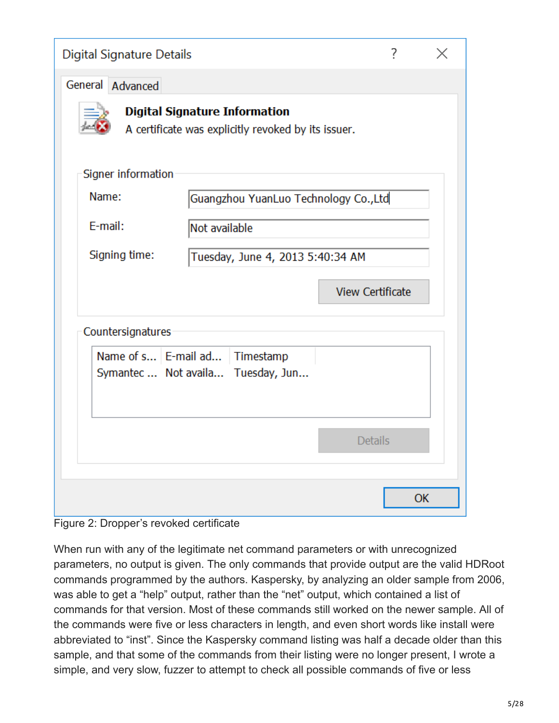| <b>Digital Signature Details</b> |                                                                                             | 7                       | X |
|----------------------------------|---------------------------------------------------------------------------------------------|-------------------------|---|
| General Advanced                 |                                                                                             |                         |   |
|                                  | <b>Digital Signature Information</b><br>A certificate was explicitly revoked by its issuer. |                         |   |
| Signer information               |                                                                                             |                         |   |
| Name:                            | Guangzhou YuanLuo Technology Co., Ltd                                                       |                         |   |
| E-mail:                          | Not available                                                                               |                         |   |
| Signing time:                    | Tuesday, June 4, 2013 5:40:34 AM                                                            |                         |   |
|                                  |                                                                                             | <b>View Certificate</b> |   |
| Countersignatures                |                                                                                             |                         |   |
|                                  | Name of s   E-mail ad   Timestamp<br>Symantec  Not availa Tuesday, Jun                      |                         |   |
|                                  |                                                                                             | <b>Details</b>          |   |
|                                  |                                                                                             | OK                      |   |

Figure 2: Dropper's revoked certificate

When run with any of the legitimate net command parameters or with unrecognized parameters, no output is given. The only commands that provide output are the valid HDRoot commands programmed by the authors. Kaspersky, by analyzing an older sample from 2006, was able to get a "help" output, rather than the "net" output, which contained a list of commands for that version. Most of these commands still worked on the newer sample. All of the commands were five or less characters in length, and even short words like install were abbreviated to "inst". Since the Kaspersky command listing was half a decade older than this sample, and that some of the commands from their listing were no longer present, I wrote a simple, and very slow, fuzzer to attempt to check all possible commands of five or less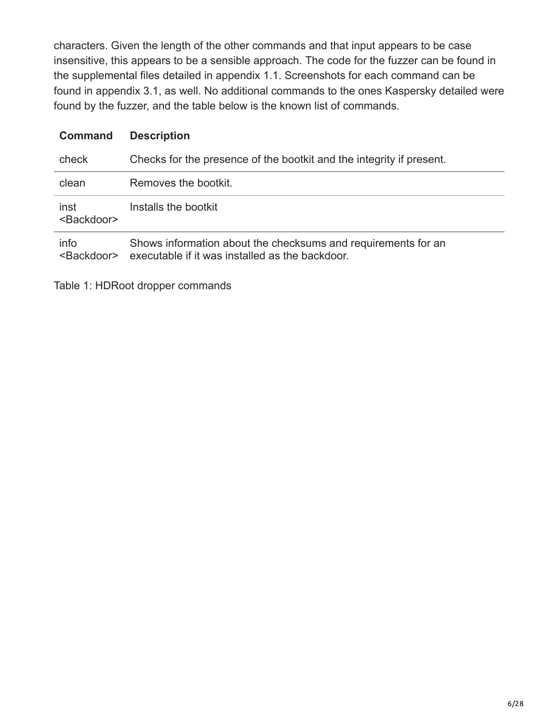characters. Given the length of the other commands and that input appears to be case insensitive, this appears to be a sensible approach. The code for the fuzzer can be found in the supplemental files detailed in appendix 1.1. Screenshots for each command can be found in appendix 3.1, as well. No additional commands to the ones Kaspersky detailed were found by the fuzzer, and the table below is the known list of commands.

#### **Command Description**

| check                         | Checks for the presence of the bootkit and the integrity if present.                                             |
|-------------------------------|------------------------------------------------------------------------------------------------------------------|
| clean                         | Removes the bootkit.                                                                                             |
| inst<br><backdoor></backdoor> | Installs the bootkit                                                                                             |
| info<br><backdoor></backdoor> | Shows information about the checksums and requirements for an<br>executable if it was installed as the backdoor. |

Table 1: HDRoot dropper commands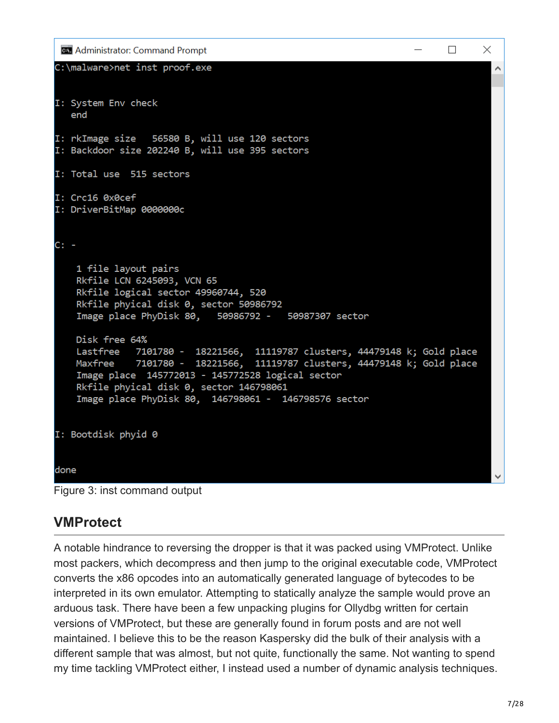```
Ex Administrator: Command Prompt
                                                                         \Box\timesC:\malware>net inst proof.exe
                                                                                  \lambdaI: System Env check
   end
I: rkImage size 56580 B, will use 120 sectors
I: Backdoor size 202240 B, will use 395 sectors
I: Total use 515 sectors
I: Crc16 0x0cef
I: DriverBitMap 0000000c
C: -1 file layout pairs
    Rkfile LCN 6245093, VCN 65
    Rkfile logical sector 49960744, 520
    Rkfile phyical disk 0, sector 50986792
    Image place PhyDisk 80,
                              50986792 - 50987307 sector
   Disk free 64%
               7101780 - 18221566, 11119787 clusters, 44479148 k; Gold place
    Lastfree
               7101780 - 18221566, 11119787 clusters, 44479148 k; Gold place
   Maxfree
    Image place 145772013 - 145772528 logical sector
    Rkfile phyical disk 0, sector 146798061
    Image place PhyDisk 80, 146798061 - 146798576 sector
I: Bootdisk phyid 0
done
```


### **VMProtect**

A notable hindrance to reversing the dropper is that it was packed using VMProtect. Unlike most packers, which decompress and then jump to the original executable code, VMProtect converts the x86 opcodes into an automatically generated language of bytecodes to be interpreted in its own emulator. Attempting to statically analyze the sample would prove an arduous task. There have been a few unpacking plugins for Ollydbg written for certain versions of VMProtect, but these are generally found in forum posts and are not well maintained. I believe this to be the reason Kaspersky did the bulk of their analysis with a different sample that was almost, but not quite, functionally the same. Not wanting to spend my time tackling VMProtect either, I instead used a number of dynamic analysis techniques.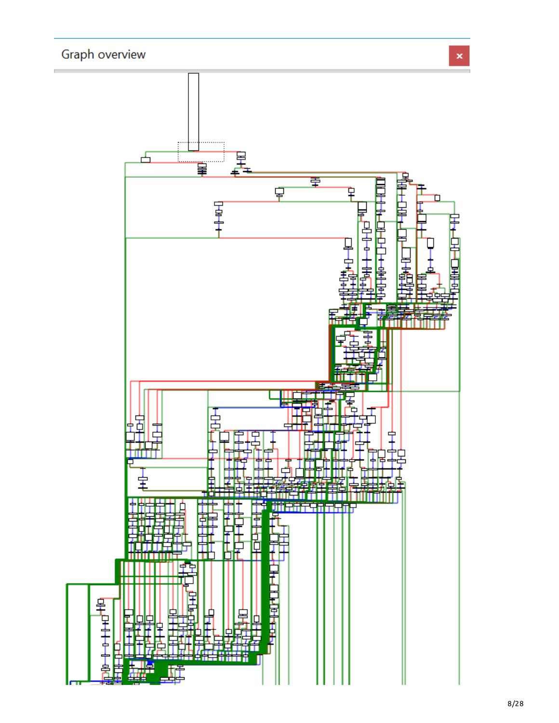### Graph overview

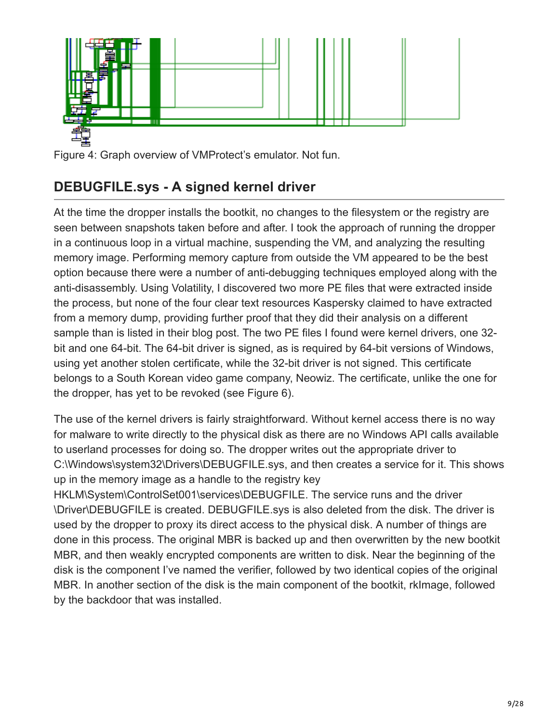

Figure 4: Graph overview of VMProtect's emulator. Not fun.

### **DEBUGFILE.sys - A signed kernel driver**

At the time the dropper installs the bootkit, no changes to the filesystem or the registry are seen between snapshots taken before and after. I took the approach of running the dropper in a continuous loop in a virtual machine, suspending the VM, and analyzing the resulting memory image. Performing memory capture from outside the VM appeared to be the best option because there were a number of anti-debugging techniques employed along with the anti-disassembly. Using Volatility, I discovered two more PE files that were extracted inside the process, but none of the four clear text resources Kaspersky claimed to have extracted from a memory dump, providing further proof that they did their analysis on a different sample than is listed in their blog post. The two PE files I found were kernel drivers, one 32 bit and one 64-bit. The 64-bit driver is signed, as is required by 64-bit versions of Windows, using yet another stolen certificate, while the 32-bit driver is not signed. This certificate belongs to a South Korean video game company, Neowiz. The certificate, unlike the one for the dropper, has yet to be revoked (see Figure 6).

The use of the kernel drivers is fairly straightforward. Without kernel access there is no way for malware to write directly to the physical disk as there are no Windows API calls available to userland processes for doing so. The dropper writes out the appropriate driver to C:\Windows\system32\Drivers\DEBUGFILE.sys, and then creates a service for it. This shows up in the memory image as a handle to the registry key

HKLM\System\ControlSet001\services\DEBUGFILE. The service runs and the driver \Driver\DEBUGFILE is created. DEBUGFILE.sys is also deleted from the disk. The driver is used by the dropper to proxy its direct access to the physical disk. A number of things are done in this process. The original MBR is backed up and then overwritten by the new bootkit MBR, and then weakly encrypted components are written to disk. Near the beginning of the disk is the component I've named the verifier, followed by two identical copies of the original MBR. In another section of the disk is the main component of the bootkit, rkImage, followed by the backdoor that was installed.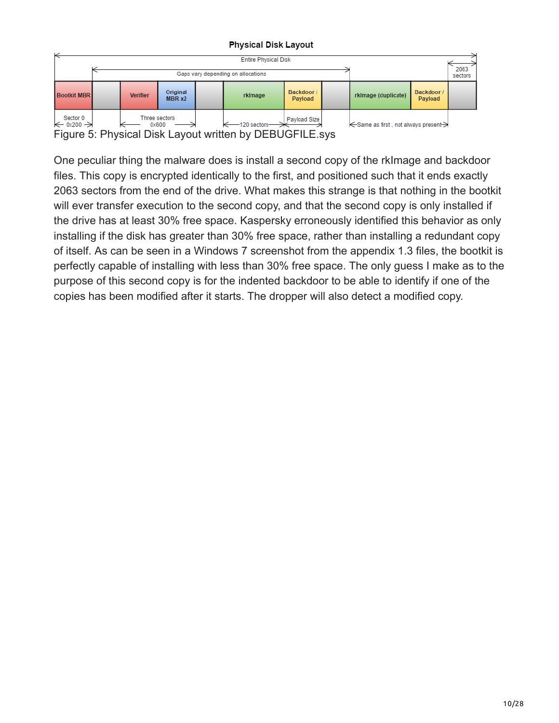#### **Physical Disk Layout**



Figure 5: Physical Disk Layout written by DEBUGFILE.sys

One peculiar thing the malware does is install a second copy of the rkImage and backdoor files. This copy is encrypted identically to the first, and positioned such that it ends exactly 2063 sectors from the end of the drive. What makes this strange is that nothing in the bootkit will ever transfer execution to the second copy, and that the second copy is only installed if the drive has at least 30% free space. Kaspersky erroneously identified this behavior as only installing if the disk has greater than 30% free space, rather than installing a redundant copy of itself. As can be seen in a Windows 7 screenshot from the appendix 1.3 files, the bootkit is perfectly capable of installing with less than 30% free space. The only guess I make as to the purpose of this second copy is for the indented backdoor to be able to identify if one of the copies has been modified after it starts. The dropper will also detect a modified copy.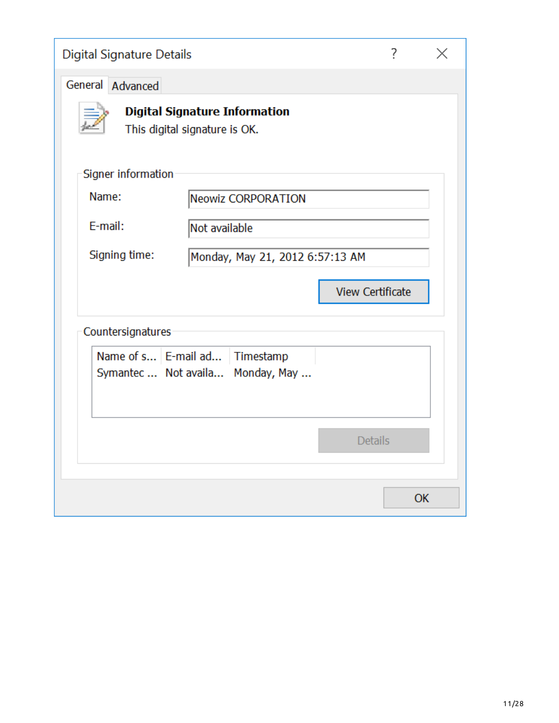| Digital Signature Details |                                                                       |                         | 7  |  |
|---------------------------|-----------------------------------------------------------------------|-------------------------|----|--|
| General Advanced          |                                                                       |                         |    |  |
|                           | <b>Digital Signature Information</b><br>This digital signature is OK. |                         |    |  |
| Signer information        |                                                                       |                         |    |  |
| Name:                     | Neowiz CORPORATION                                                    |                         |    |  |
| E-mail:                   | Not available                                                         |                         |    |  |
| Signing time:             | Monday, May 21, 2012 6:57:13 AM                                       |                         |    |  |
|                           |                                                                       | <b>View Certificate</b> |    |  |
| Countersignatures         |                                                                       |                         |    |  |
|                           | Name of s   E-mail ad   Timestamp<br>Symantec  Not availa Monday, May |                         |    |  |
|                           |                                                                       | <b>Details</b>          |    |  |
|                           |                                                                       |                         | OK |  |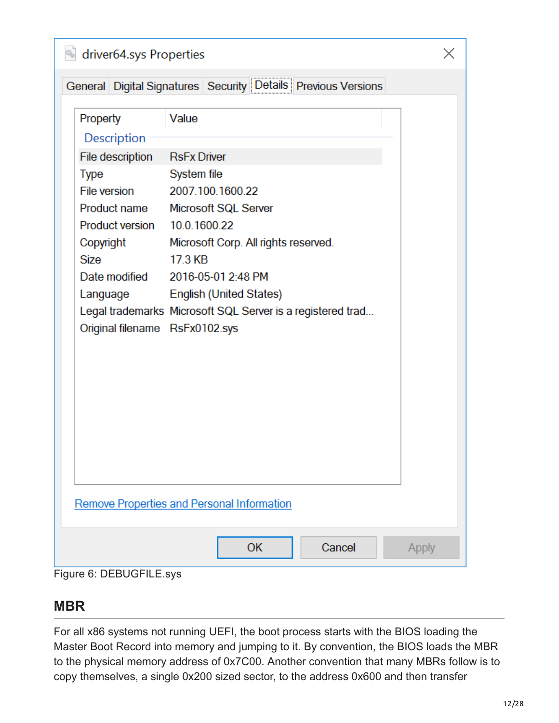| driver64.sys Properties                   |                                                                                 |  |
|-------------------------------------------|---------------------------------------------------------------------------------|--|
|                                           | General Digital Signatures Security Details Previous Versions                   |  |
| Property<br>Description                   | Value                                                                           |  |
| File description<br><b>Type</b>           | <b>RsFx Driver</b><br>System file                                               |  |
|                                           | File version 2007.100.1600.22<br>Product name Microsoft SQL Server              |  |
| Product version 10.0.1600.22<br>Copyright | Microsoft Corp. All rights reserved.                                            |  |
| <b>Size</b>                               | 17.3 KB<br>Date modified 2016-05-01 2:48 PM<br>Language English (United States) |  |
| Original filename RsFx0102.sys            | Legal trademarks Microsoft SQL Server is a registered trad                      |  |
|                                           |                                                                                 |  |
|                                           |                                                                                 |  |
|                                           |                                                                                 |  |
|                                           |                                                                                 |  |
|                                           | <b>Remove Properties and Personal Information</b>                               |  |
|                                           | <b>OK</b><br>Cancel<br>Apply                                                    |  |
| Figure 6: DEBUGFILE.sys                   |                                                                                 |  |

### **MBR**

For all x86 systems not running UEFI, the boot process starts with the BIOS loading the Master Boot Record into memory and jumping to it. By convention, the BIOS loads the MBR to the physical memory address of 0x7C00. Another convention that many MBRs follow is to copy themselves, a single 0x200 sized sector, to the address 0x600 and then transfer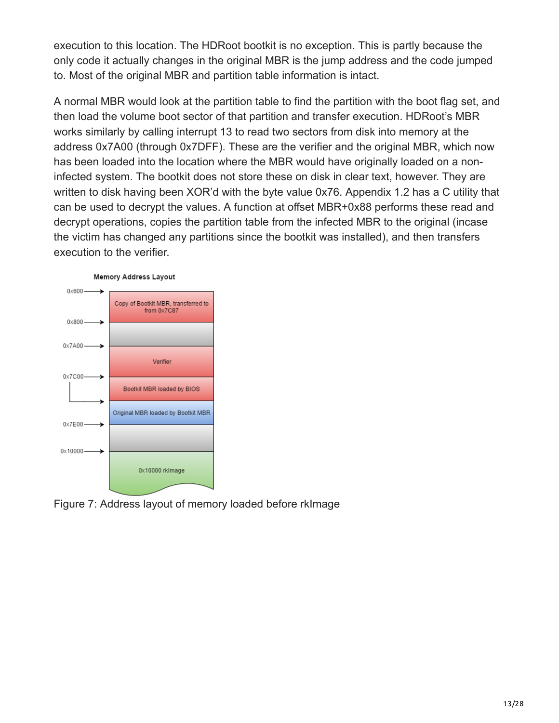execution to this location. The HDRoot bootkit is no exception. This is partly because the only code it actually changes in the original MBR is the jump address and the code jumped to. Most of the original MBR and partition table information is intact.

A normal MBR would look at the partition table to find the partition with the boot flag set, and then load the volume boot sector of that partition and transfer execution. HDRoot's MBR works similarly by calling interrupt 13 to read two sectors from disk into memory at the address 0x7A00 (through 0x7DFF). These are the verifier and the original MBR, which now has been loaded into the location where the MBR would have originally loaded on a noninfected system. The bootkit does not store these on disk in clear text, however. They are written to disk having been XOR'd with the byte value 0x76. Appendix 1.2 has a C utility that can be used to decrypt the values. A function at offset MBR+0x88 performs these read and decrypt operations, copies the partition table from the infected MBR to the original (incase the victim has changed any partitions since the bootkit was installed), and then transfers execution to the verifier.



Figure 7: Address layout of memory loaded before rkImage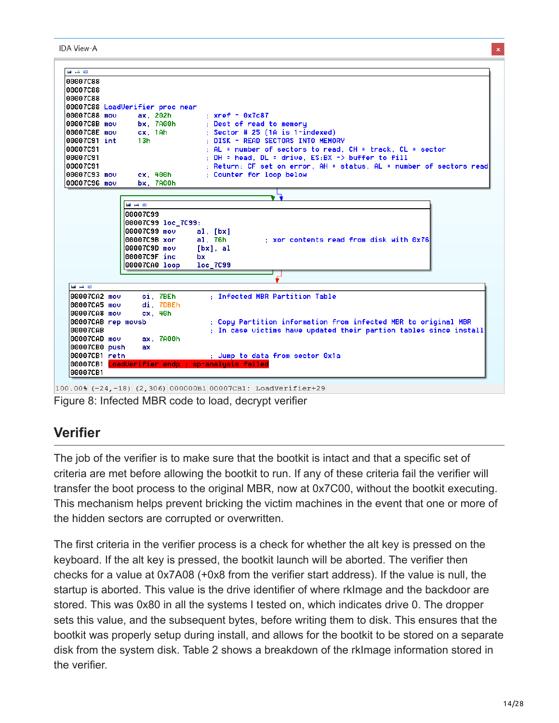**IDA View-A** 

| 00007C88           |                                 |    |                                                                     |
|--------------------|---------------------------------|----|---------------------------------------------------------------------|
| 00007C88           |                                 |    |                                                                     |
| 00007C88           |                                 |    |                                                                     |
|                    | 00007C88 LoadVerifier proc near |    |                                                                     |
| 100007C88 mou      | ax, 202h                        |    | $: xref - 0x7c87$                                                   |
| 00007C8B mov       | bx. 7A00h                       |    | ; Dest of read to memory                                            |
|                    | 00007C8E mov cx, 1Ah            |    | $:$ Sector # 25 (1A is 1-indexed)                                   |
| 00007C91 int       | 13h                             |    | : DISK - READ SECTORS INTO MEMORY                                   |
| 00007C91           |                                 |    | $\pm$ AL = number of sectors to read. CH = track. CL = sector       |
| 100007C91          |                                 |    | $:$ DH = head, DL = drive, $ES:BX \rightarrow buffer$ to fill       |
| 100007C91          |                                 |    | : Return: CF set on error, AH = status, AL = number of sectors read |
| 00007C93 mou       | cx.400h                         |    | : Counter for loop below                                            |
| 00007C96 mov       | bx, 7A00h                       |    |                                                                     |
|                    |                                 |    |                                                                     |
|                    | 国 英 国                           |    |                                                                     |
|                    | 00007C99                        |    |                                                                     |
|                    | 00007C99 loc_7C99:              |    |                                                                     |
|                    | 100007C99 mo∪                   |    | al. [bx]                                                            |
|                    | 00007C9B xor                    |    | al, 76h<br>: xor contents read from disk with 0x76                  |
|                    | 00007C9D mov                    |    | $[bx]$ , al                                                         |
|                    | 00007C9F inc                    | bx |                                                                     |
|                    | 00007CA0 loop                   |    | loc_7C99                                                            |
|                    |                                 |    |                                                                     |
|                    |                                 |    |                                                                     |
|                    |                                 |    |                                                                     |
| تقتل کمن اللغا     |                                 |    |                                                                     |
| 00007CA2 mov       | si, 7BEh                        |    | : Infected MBR Partition Table                                      |
| 00007CA5 mov       | di. 7DBEh                       |    |                                                                     |
| 00007CA8 mov       | cx.40h                          |    |                                                                     |
| 00007CAB rep mousb |                                 |    | : Copy Partition information from infected MBR to original MBR      |
| 00007CAB           |                                 |    | ; In case victims have updated their partion tables since install   |
| 00007CAD mov       | ax. 7A00h                       |    |                                                                     |
| 00007CB0 push      | ax.                             |    |                                                                     |
| 00007CB1 retn      |                                 |    | ; Jump to data from sector 0x1a                                     |
|                    |                                 |    | 00007CB1 LoadVerifier endp : sp-analysis failed                     |

100.00% (-24,-18) (2,306) 0000000B1 00007CB1: LoadVerifier+29

Figure 8: Infected MBR code to load, decrypt verifier

### **Verifier**

The job of the verifier is to make sure that the bootkit is intact and that a specific set of criteria are met before allowing the bootkit to run. If any of these criteria fail the verifier will transfer the boot process to the original MBR, now at 0x7C00, without the bootkit executing. This mechanism helps prevent bricking the victim machines in the event that one or more of the hidden sectors are corrupted or overwritten.

The first criteria in the verifier process is a check for whether the alt key is pressed on the keyboard. If the alt key is pressed, the bootkit launch will be aborted. The verifier then checks for a value at 0x7A08 (+0x8 from the verifier start address). If the value is null, the startup is aborted. This value is the drive identifier of where rkImage and the backdoor are stored. This was 0x80 in all the systems I tested on, which indicates drive 0. The dropper sets this value, and the subsequent bytes, before writing them to disk. This ensures that the bootkit was properly setup during install, and allows for the bootkit to be stored on a separate disk from the system disk. Table 2 shows a breakdown of the rkImage information stored in the verifier.

 $\mathbf{x}$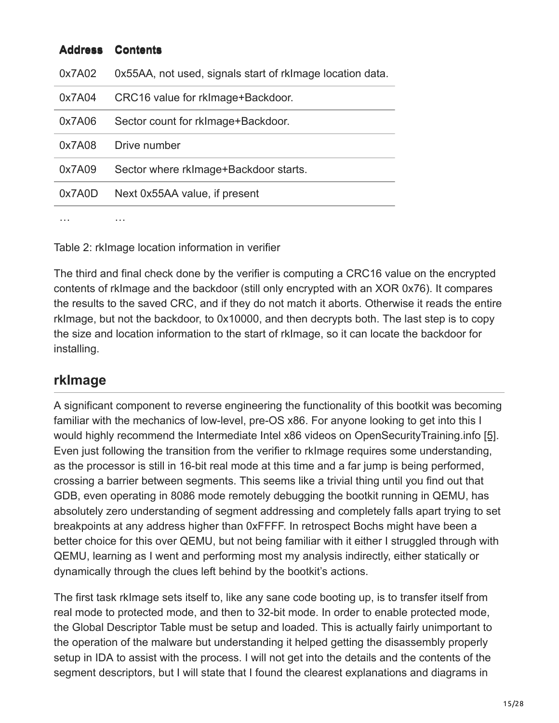| <b>Address</b> | <b>Contents</b>                                           |
|----------------|-----------------------------------------------------------|
| 0x7A02         | 0x55AA, not used, signals start of rklmage location data. |
| 0x7A04         | CRC16 value for rkImage+Backdoor.                         |
| 0x7A06         | Sector count for rkImage+Backdoor.                        |
| 0x7A08         | Drive number                                              |
| 0x7A09         | Sector where rkimage+Backdoor starts.                     |
| 0x7A0D         | Next 0x55AA value, if present                             |
|                | .                                                         |

Table 2: rkImage location information in verifier

The third and final check done by the verifier is computing a CRC16 value on the encrypted contents of rkImage and the backdoor (still only encrypted with an XOR 0x76). It compares the results to the saved CRC, and if they do not match it aborts. Otherwise it reads the entire rkImage, but not the backdoor, to 0x10000, and then decrypts both. The last step is to copy the size and location information to the start of rkImage, so it can locate the backdoor for installing.

### **rkImage**

A significant component to reverse engineering the functionality of this bootkit was becoming familiar with the mechanics of low-level, pre-OS x86. For anyone looking to get into this I would highly recommend the Intermediate Intel x86 videos on OpenSecurityTraining.info [5]. Even just following the transition from the verifier to rkImage requires some understanding, as the processor is still in 16-bit real mode at this time and a far jump is being performed, crossing a barrier between segments. This seems like a trivial thing until you find out that GDB, even operating in 8086 mode remotely debugging the bootkit running in QEMU, has absolutely zero understanding of segment addressing and completely falls apart trying to set breakpoints at any address higher than 0xFFFF. In retrospect Bochs might have been a better choice for this over QEMU, but not being familiar with it either I struggled through with QEMU, learning as I went and performing most my analysis indirectly, either statically or dynamically through the clues left behind by the bootkit's actions.

The first task rkImage sets itself to, like any sane code booting up, is to transfer itself from real mode to protected mode, and then to 32-bit mode. In order to enable protected mode, the Global Descriptor Table must be setup and loaded. This is actually fairly unimportant to the operation of the malware but understanding it helped getting the disassembly properly setup in IDA to assist with the process. I will not get into the details and the contents of the segment descriptors, but I will state that I found the clearest explanations and diagrams in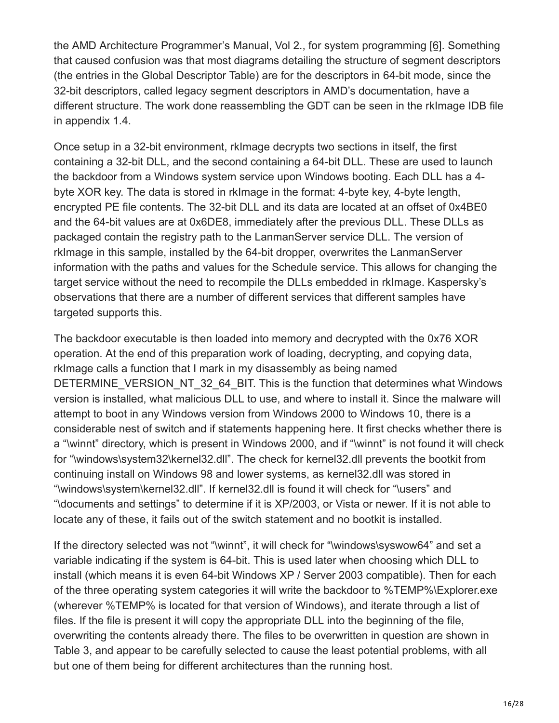the AMD Architecture Programmer's Manual, Vol 2., for system programming [6]. Something that caused confusion was that most diagrams detailing the structure of segment descriptors (the entries in the Global Descriptor Table) are for the descriptors in 64-bit mode, since the 32-bit descriptors, called legacy segment descriptors in AMD's documentation, have a different structure. The work done reassembling the GDT can be seen in the rkImage IDB file in appendix 1.4.

Once setup in a 32-bit environment, rkImage decrypts two sections in itself, the first containing a 32-bit DLL, and the second containing a 64-bit DLL. These are used to launch the backdoor from a Windows system service upon Windows booting. Each DLL has a 4 byte XOR key. The data is stored in rkImage in the format: 4-byte key, 4-byte length, encrypted PE file contents. The 32-bit DLL and its data are located at an offset of 0x4BE0 and the 64-bit values are at 0x6DE8, immediately after the previous DLL. These DLLs as packaged contain the registry path to the LanmanServer service DLL. The version of rkImage in this sample, installed by the 64-bit dropper, overwrites the LanmanServer information with the paths and values for the Schedule service. This allows for changing the target service without the need to recompile the DLLs embedded in rkImage. Kaspersky's observations that there are a number of different services that different samples have targeted supports this.

The backdoor executable is then loaded into memory and decrypted with the 0x76 XOR operation. At the end of this preparation work of loading, decrypting, and copying data, rkImage calls a function that I mark in my disassembly as being named DETERMINE\_VERSION\_NT\_32\_64\_BIT. This is the function that determines what Windows version is installed, what malicious DLL to use, and where to install it. Since the malware will attempt to boot in any Windows version from Windows 2000 to Windows 10, there is a considerable nest of switch and if statements happening here. It first checks whether there is a "\winnt" directory, which is present in Windows 2000, and if "\winnt" is not found it will check for "\windows\system32\kernel32.dll". The check for kernel32.dll prevents the bootkit from continuing install on Windows 98 and lower systems, as kernel32.dll was stored in "\windows\system\kernel32.dll". If kernel32.dll is found it will check for "\users" and "\documents and settings" to determine if it is XP/2003, or Vista or newer. If it is not able to locate any of these, it fails out of the switch statement and no bootkit is installed.

If the directory selected was not "\winnt", it will check for "\windows\syswow64" and set a variable indicating if the system is 64-bit. This is used later when choosing which DLL to install (which means it is even 64-bit Windows XP / Server 2003 compatible). Then for each of the three operating system categories it will write the backdoor to %TEMP%\Explorer.exe (wherever %TEMP% is located for that version of Windows), and iterate through a list of files. If the file is present it will copy the appropriate DLL into the beginning of the file, overwriting the contents already there. The files to be overwritten in question are shown in Table 3, and appear to be carefully selected to cause the least potential problems, with all but one of them being for different architectures than the running host.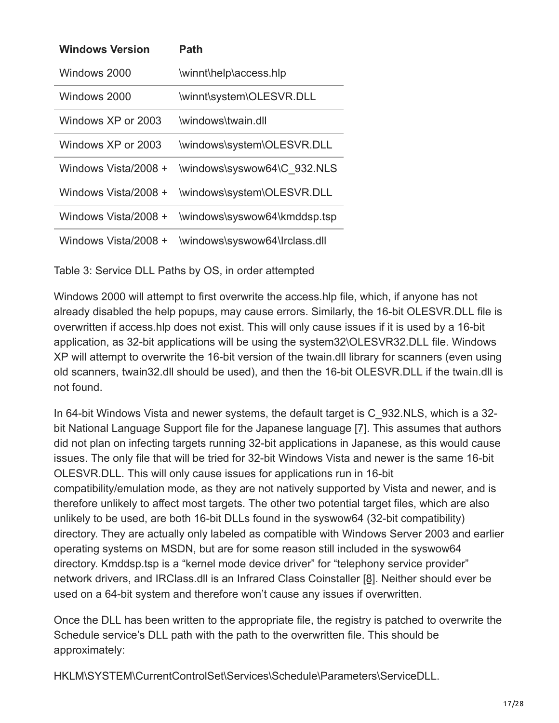| <b>Windows Version</b> | Path                          |
|------------------------|-------------------------------|
| Windows 2000           | \winnt\help\access.hlp        |
| Windows 2000           | \winnt\system\OLESVR.DLL      |
| Windows XP or 2003     | windows\twain dll             |
| Windows XP or 2003     | \windows\system\OLESVR.DLL    |
| Windows Vista/2008 +   | \windows\syswow64\C_932.NLS   |
| Windows Vista/2008 +   | \windows\system\OLESVR.DLL    |
| Windows Vista/2008 +   | \windows\syswow64\kmddsp.tsp  |
| Windows Vista/2008 +   | \windows\syswow64\lrclass.dll |

Table 3: Service DLL Paths by OS, in order attempted

Windows 2000 will attempt to first overwrite the access.hlp file, which, if anyone has not already disabled the help popups, may cause errors. Similarly, the 16-bit OLESVR.DLL file is overwritten if access.hlp does not exist. This will only cause issues if it is used by a 16-bit application, as 32-bit applications will be using the system32\OLESVR32.DLL file. Windows XP will attempt to overwrite the 16-bit version of the twain.dll library for scanners (even using old scanners, twain32.dll should be used), and then the 16-bit OLESVR.DLL if the twain.dll is not found.

In 64-bit Windows Vista and newer systems, the default target is C\_932.NLS, which is a 32 bit National Language Support file for the Japanese language [7]. This assumes that authors did not plan on infecting targets running 32-bit applications in Japanese, as this would cause issues. The only file that will be tried for 32-bit Windows Vista and newer is the same 16-bit OLESVR.DLL. This will only cause issues for applications run in 16-bit compatibility/emulation mode, as they are not natively supported by Vista and newer, and is therefore unlikely to affect most targets. The other two potential target files, which are also unlikely to be used, are both 16-bit DLLs found in the syswow64 (32-bit compatibility) directory. They are actually only labeled as compatible with Windows Server 2003 and earlier operating systems on MSDN, but are for some reason still included in the syswow64 directory. Kmddsp.tsp is a "kernel mode device driver" for "telephony service provider" network drivers, and IRClass.dll is an Infrared Class Coinstaller [8]. Neither should ever be used on a 64-bit system and therefore won't cause any issues if overwritten.

Once the DLL has been written to the appropriate file, the registry is patched to overwrite the Schedule service's DLL path with the path to the overwritten file. This should be approximately:

HKLM\SYSTEM\CurrentControlSet\Services\Schedule\Parameters\ServiceDLL.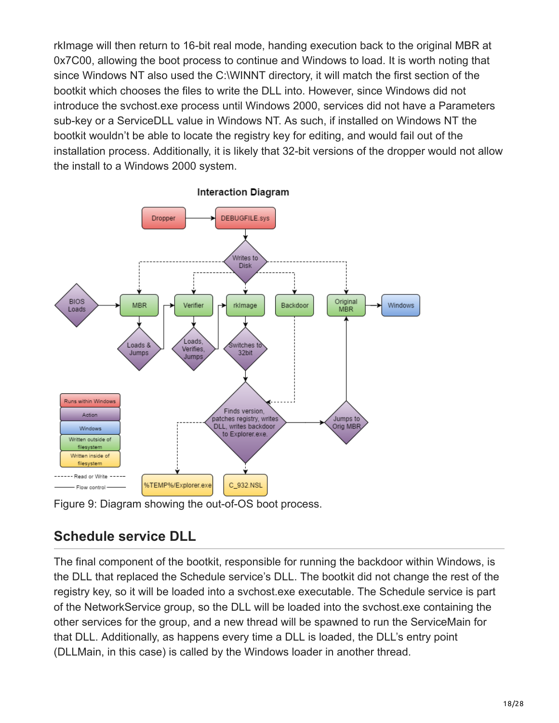rkImage will then return to 16-bit real mode, handing execution back to the original MBR at 0x7C00, allowing the boot process to continue and Windows to load. It is worth noting that since Windows NT also used the C:\WINNT directory, it will match the first section of the bootkit which chooses the files to write the DLL into. However, since Windows did not introduce the svchost.exe process until Windows 2000, services did not have a Parameters sub-key or a ServiceDLL value in Windows NT. As such, if installed on Windows NT the bootkit wouldn't be able to locate the registry key for editing, and would fail out of the installation process. Additionally, it is likely that 32-bit versions of the dropper would not allow the install to a Windows 2000 system.



**Interaction Diagram** 

Figure 9: Diagram showing the out-of-OS boot process.

### **Schedule service DLL**

The final component of the bootkit, responsible for running the backdoor within Windows, is the DLL that replaced the Schedule service's DLL. The bootkit did not change the rest of the registry key, so it will be loaded into a svchost.exe executable. The Schedule service is part of the NetworkService group, so the DLL will be loaded into the svchost.exe containing the other services for the group, and a new thread will be spawned to run the ServiceMain for that DLL. Additionally, as happens every time a DLL is loaded, the DLL's entry point (DLLMain, in this case) is called by the Windows loader in another thread.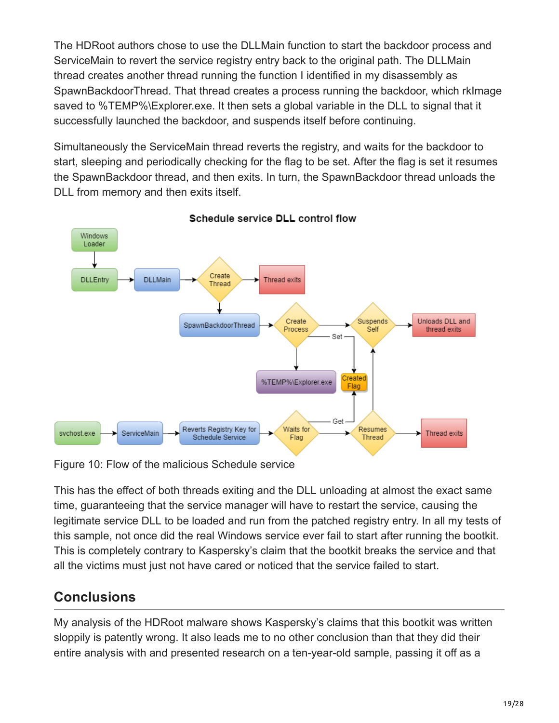The HDRoot authors chose to use the DLLMain function to start the backdoor process and ServiceMain to revert the service registry entry back to the original path. The DLLMain thread creates another thread running the function I identified in my disassembly as SpawnBackdoorThread. That thread creates a process running the backdoor, which rkImage saved to %TEMP%\Explorer.exe. It then sets a global variable in the DLL to signal that it successfully launched the backdoor, and suspends itself before continuing.

Simultaneously the ServiceMain thread reverts the registry, and waits for the backdoor to start, sleeping and periodically checking for the flag to be set. After the flag is set it resumes the SpawnBackdoor thread, and then exits. In turn, the SpawnBackdoor thread unloads the DLL from memory and then exits itself.



Schedule service DLL control flow

Figure 10: Flow of the malicious Schedule service

This has the effect of both threads exiting and the DLL unloading at almost the exact same time, guaranteeing that the service manager will have to restart the service, causing the legitimate service DLL to be loaded and run from the patched registry entry. In all my tests of this sample, not once did the real Windows service ever fail to start after running the bootkit. This is completely contrary to Kaspersky's claim that the bootkit breaks the service and that all the victims must just not have cared or noticed that the service failed to start.

### **Conclusions**

My analysis of the HDRoot malware shows Kaspersky's claims that this bootkit was written sloppily is patently wrong. It also leads me to no other conclusion than that they did their entire analysis with and presented research on a ten-year-old sample, passing it off as a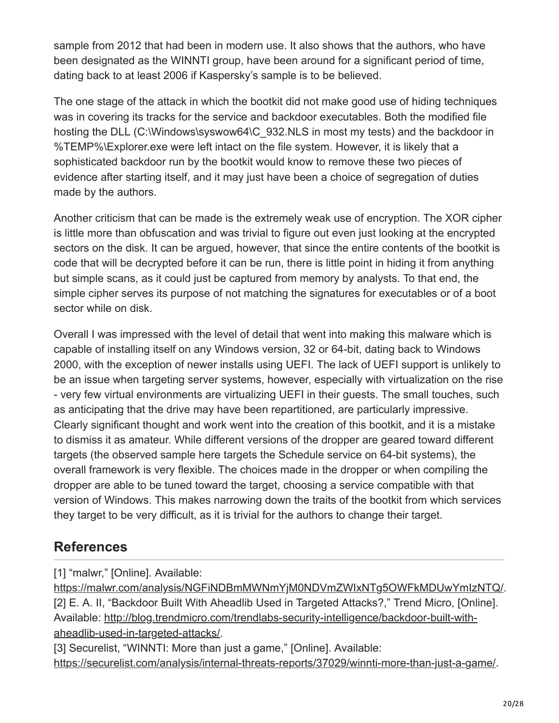sample from 2012 that had been in modern use. It also shows that the authors, who have been designated as the WINNTI group, have been around for a significant period of time, dating back to at least 2006 if Kaspersky's sample is to be believed.

The one stage of the attack in which the bootkit did not make good use of hiding techniques was in covering its tracks for the service and backdoor executables. Both the modified file hosting the DLL (C:\Windows\syswow64\C\_932.NLS in most my tests) and the backdoor in %TEMP%\Explorer.exe were left intact on the file system. However, it is likely that a sophisticated backdoor run by the bootkit would know to remove these two pieces of evidence after starting itself, and it may just have been a choice of segregation of duties made by the authors.

Another criticism that can be made is the extremely weak use of encryption. The XOR cipher is little more than obfuscation and was trivial to figure out even just looking at the encrypted sectors on the disk. It can be argued, however, that since the entire contents of the bootkit is code that will be decrypted before it can be run, there is little point in hiding it from anything but simple scans, as it could just be captured from memory by analysts. To that end, the simple cipher serves its purpose of not matching the signatures for executables or of a boot sector while on disk.

Overall I was impressed with the level of detail that went into making this malware which is capable of installing itself on any Windows version, 32 or 64-bit, dating back to Windows 2000, with the exception of newer installs using UEFI. The lack of UEFI support is unlikely to be an issue when targeting server systems, however, especially with virtualization on the rise - very few virtual environments are virtualizing UEFI in their guests. The small touches, such as anticipating that the drive may have been repartitioned, are particularly impressive. Clearly significant thought and work went into the creation of this bootkit, and it is a mistake to dismiss it as amateur. While different versions of the dropper are geared toward different targets (the observed sample here targets the Schedule service on 64-bit systems), the overall framework is very flexible. The choices made in the dropper or when compiling the dropper are able to be tuned toward the target, choosing a service compatible with that version of Windows. This makes narrowing down the traits of the bootkit from which services they target to be very difficult, as it is trivial for the authors to change their target.

### **References**

[1] "malwr," [Online]. Available:

[https://malwr.com/analysis/NGFiNDBmMWNmYjM0NDVmZWIxNTg5OWFkMDUwYmIzNTQ/.](https://malwr.com/analysis/NGFiNDBmMWNmYjM0NDVmZWIxNTg5OWFkMDUwYmIzNTQ/) [2] E. A. II, "Backdoor Built With Aheadlib Used in Targeted Attacks?," Trend Micro, [Online]. [Available: http://blog.trendmicro.com/trendlabs-security-intelligence/backdoor-built-with](http://blog.trendmicro.com/trendlabs-security-intelligence/backdoor-built-with-aheadlib-used-in-targeted-attacks/)aheadlib-used-in-targeted-attacks/.

[3] Securelist, "WINNTI: More than just a game," [Online]. Available: <https://securelist.com/analysis/internal-threats-reports/37029/winnti-more-than-just-a-game/>.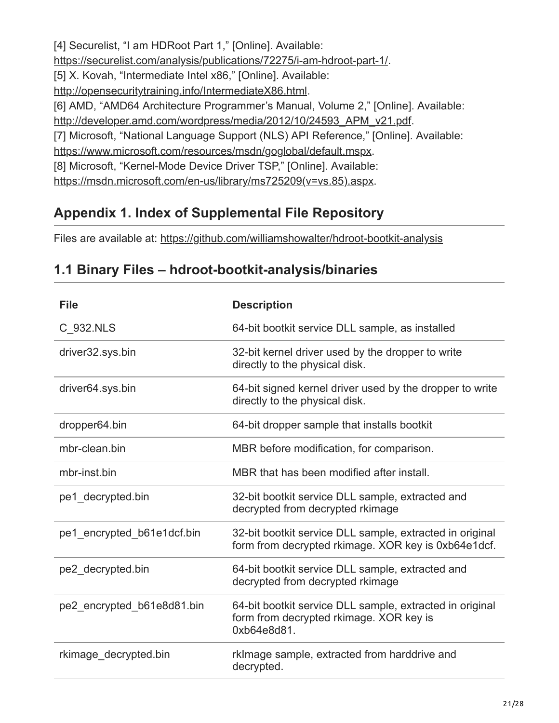[4] Securelist, "I am HDRoot Part 1," [Online]. Available: <https://securelist.com/analysis/publications/72275/i-am-hdroot-part-1/>. [5] X. Kovah, "Intermediate Intel x86," [Online]. Available: [http://opensecuritytraining.info/IntermediateX86.html.](http://opensecuritytraining.info/IntermediateX86.html) [6] AMD, "AMD64 Architecture Programmer's Manual, Volume 2," [Online]. Available: [http://developer.amd.com/wordpress/media/2012/10/24593\\_APM\\_v21.pdf.](http://developer.amd.com/wordpress/media/2012/10/24593_APM_v21.pdf) [7] Microsoft, "National Language Support (NLS) API Reference," [Online]. Available: <https://www.microsoft.com/resources/msdn/goglobal/default.mspx>. [8] Microsoft, "Kernel-Mode Device Driver TSP," [Online]. Available:

[https://msdn.microsoft.com/en-us/library/ms725209\(v=vs.85\).aspx.](https://msdn.microsoft.com/en-us/library/ms725209(v=vs.85).aspx)

### **Appendix 1. Index of Supplemental File Repository**

Files are available at: <https://github.com/williamshowalter/hdroot-bootkit-analysis>

| <b>File</b>                | <b>Description</b>                                                                                                 |
|----------------------------|--------------------------------------------------------------------------------------------------------------------|
| C 932.NLS                  | 64-bit bootkit service DLL sample, as installed                                                                    |
| driver32.sys.bin           | 32-bit kernel driver used by the dropper to write<br>directly to the physical disk.                                |
| driver64.sys.bin           | 64-bit signed kernel driver used by the dropper to write<br>directly to the physical disk.                         |
| dropper64.bin              | 64-bit dropper sample that installs bootkit                                                                        |
| mbr-clean.bin              | MBR before modification, for comparison.                                                                           |
| mbr-inst.bin               | MBR that has been modified after install.                                                                          |
| pe1 decrypted.bin          | 32-bit bootkit service DLL sample, extracted and<br>decrypted from decrypted rkimage                               |
| pe1 encrypted b61e1dcf.bin | 32-bit bootkit service DLL sample, extracted in original<br>form from decrypted rkimage. XOR key is 0xb64e1dcf.    |
| pe2 decrypted.bin          | 64-bit bootkit service DLL sample, extracted and<br>decrypted from decrypted rkimage                               |
| pe2 encrypted b61e8d81.bin | 64-bit bootkit service DLL sample, extracted in original<br>form from decrypted rkimage. XOR key is<br>0xb64e8d81. |
| rkimage decrypted.bin      | rkImage sample, extracted from harddrive and<br>decrypted.                                                         |

### **1.1 Binary Files – hdroot-bootkit-analysis/binaries**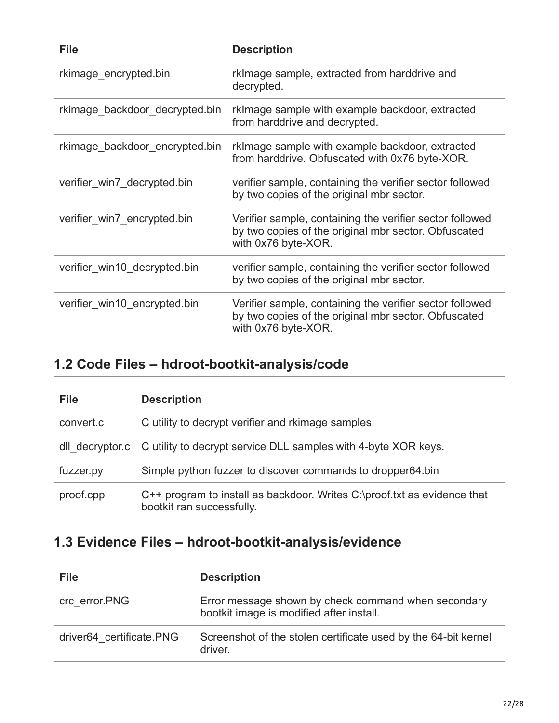| <b>File</b>                    | <b>Description</b>                                                                                                                      |
|--------------------------------|-----------------------------------------------------------------------------------------------------------------------------------------|
| rkimage encrypted.bin          | rkImage sample, extracted from harddrive and<br>decrypted.                                                                              |
| rkimage backdoor decrypted.bin | rkimage sample with example backdoor, extracted<br>from harddrive and decrypted.                                                        |
| rkimage backdoor encrypted.bin | rkimage sample with example backdoor, extracted<br>from harddrive. Obfuscated with 0x76 byte-XOR.                                       |
| verifier_win7_decrypted.bin    | verifier sample, containing the verifier sector followed<br>by two copies of the original mbr sector.                                   |
| verifier win7 encrypted.bin    | Verifier sample, containing the verifier sector followed<br>by two copies of the original mbr sector. Obfuscated<br>with 0x76 byte-XOR. |
| verifier win10 decrypted.bin   | verifier sample, containing the verifier sector followed<br>by two copies of the original mbr sector.                                   |
| verifier win10 encrypted.bin   | Verifier sample, containing the verifier sector followed<br>by two copies of the original mbr sector. Obfuscated<br>with 0x76 byte-XOR. |

## **1.2 Code Files – hdroot-bootkit-analysis/code**

| <b>File</b>     | <b>Description</b>                                                                                    |
|-----------------|-------------------------------------------------------------------------------------------------------|
| convert.c       | C utility to decrypt verifier and rkimage samples.                                                    |
| dll decryptor.c | C utility to decrypt service DLL samples with 4-byte XOR keys.                                        |
| fuzzer.py       | Simple python fuzzer to discover commands to dropper64 bin                                            |
| proof.cpp       | C++ program to install as backdoor. Writes C:\proof.txt as evidence that<br>bootkit ran successfully. |

## **1.3 Evidence Files – hdroot-bootkit-analysis/evidence**

| <b>File</b>              | <b>Description</b>                                                                              |
|--------------------------|-------------------------------------------------------------------------------------------------|
| crc error.PNG            | Error message shown by check command when secondary<br>bootkit image is modified after install. |
| driver64 certificate.PNG | Screenshot of the stolen certificate used by the 64-bit kernel<br>driver.                       |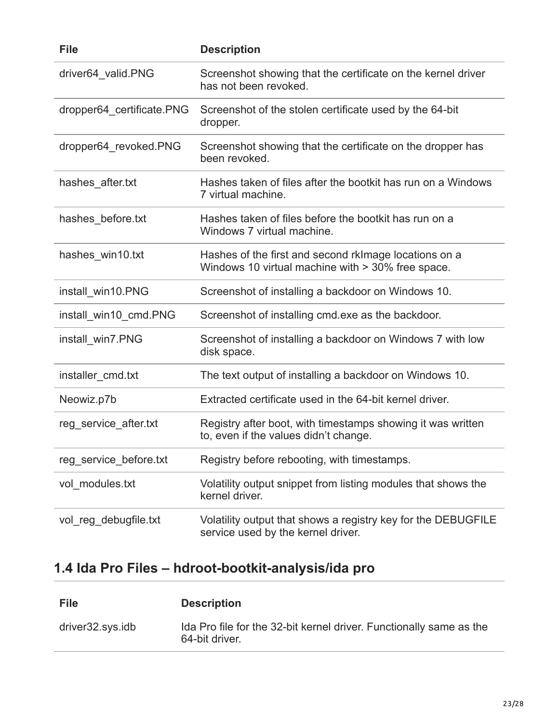| <b>File</b>               | <b>Description</b>                                                                                         |
|---------------------------|------------------------------------------------------------------------------------------------------------|
| driver64 valid.PNG        | Screenshot showing that the certificate on the kernel driver<br>has not been revoked.                      |
| dropper64 certificate.PNG | Screenshot of the stolen certificate used by the 64-bit<br>dropper.                                        |
| dropper64_revoked.PNG     | Screenshot showing that the certificate on the dropper has<br>been revoked.                                |
| hashes_after.txt          | Hashes taken of files after the bootkit has run on a Windows<br>7 virtual machine.                         |
| hashes_before.txt         | Hashes taken of files before the bootkit has run on a<br>Windows 7 virtual machine.                        |
| hashes_win10.txt          | Hashes of the first and second rklmage locations on a<br>Windows 10 virtual machine with > 30% free space. |
| install_win10.PNG         | Screenshot of installing a backdoor on Windows 10.                                                         |
| install_win10_cmd.PNG     | Screenshot of installing cmd.exe as the backdoor.                                                          |
| install_win7.PNG          | Screenshot of installing a backdoor on Windows 7 with low<br>disk space.                                   |
| installer_cmd.txt         | The text output of installing a backdoor on Windows 10.                                                    |
| Neowiz.p7b                | Extracted certificate used in the 64-bit kernel driver.                                                    |
| reg_service_after.txt     | Registry after boot, with timestamps showing it was written<br>to, even if the values didn't change.       |
| reg service before.txt    | Registry before rebooting, with timestamps.                                                                |
| vol modules.txt           | Volatility output snippet from listing modules that shows the<br>kernel driver.                            |
| vol_reg_debugfile.txt     | Volatility output that shows a registry key for the DEBUGFILE<br>service used by the kernel driver.        |

# **1.4 Ida Pro Files – hdroot-bootkit-analysis/ida pro**

| <b>File</b>      | <b>Description</b>                                                                    |
|------------------|---------------------------------------------------------------------------------------|
| driver32.sys.idb | Ida Pro file for the 32-bit kernel driver. Functionally same as the<br>64-bit driver. |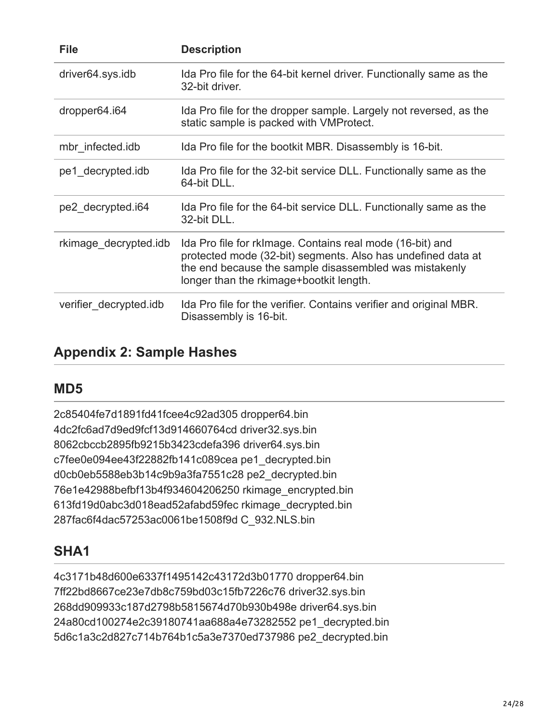| <b>File</b>            | <b>Description</b>                                                                                                                                                                                                             |
|------------------------|--------------------------------------------------------------------------------------------------------------------------------------------------------------------------------------------------------------------------------|
| driver64.sys.idb       | Ida Pro file for the 64-bit kernel driver. Functionally same as the<br>32-bit driver.                                                                                                                                          |
| dropper64.i64          | Ida Pro file for the dropper sample. Largely not reversed, as the<br>static sample is packed with VMProtect.                                                                                                                   |
| mbr infected.idb       | Ida Pro file for the bootkit MBR. Disassembly is 16-bit.                                                                                                                                                                       |
| pe1 decrypted.idb      | Ida Pro file for the 32-bit service DLL. Functionally same as the<br>64-bit DLL.                                                                                                                                               |
| pe2 decrypted.i64      | Ida Pro file for the 64-bit service DLL. Functionally same as the<br>32-bit DLL.                                                                                                                                               |
| rkimage decrypted.idb  | Ida Pro file for rkImage. Contains real mode (16-bit) and<br>protected mode (32-bit) segments. Also has undefined data at<br>the end because the sample disassembled was mistakenly<br>longer than the rkimage+bootkit length. |
| verifier decrypted.idb | Ida Pro file for the verifier. Contains verifier and original MBR.<br>Disassembly is 16-bit.                                                                                                                                   |

### **Appendix 2: Sample Hashes**

### **MD5**

2c85404fe7d1891fd41fcee4c92ad305 dropper64.bin 4dc2fc6ad7d9ed9fcf13d914660764cd driver32.sys.bin 8062cbccb2895fb9215b3423cdefa396 driver64.sys.bin c7fee0e094ee43f22882fb141c089cea pe1\_decrypted.bin d0cb0eb5588eb3b14c9b9a3fa7551c28 pe2\_decrypted.bin 76e1e42988befbf13b4f934604206250 rkimage\_encrypted.bin 613fd19d0abc3d018ead52afabd59fec rkimage\_decrypted.bin 287fac6f4dac57253ac0061be1508f9d C\_932.NLS.bin

### **SHA1**

4c3171b48d600e6337f1495142c43172d3b01770 dropper64.bin 7ff22bd8667ce23e7db8c759bd03c15fb7226c76 driver32.sys.bin 268dd909933c187d2798b5815674d70b930b498e driver64.sys.bin 24a80cd100274e2c39180741aa688a4e73282552 pe1\_decrypted.bin 5d6c1a3c2d827c714b764b1c5a3e7370ed737986 pe2\_decrypted.bin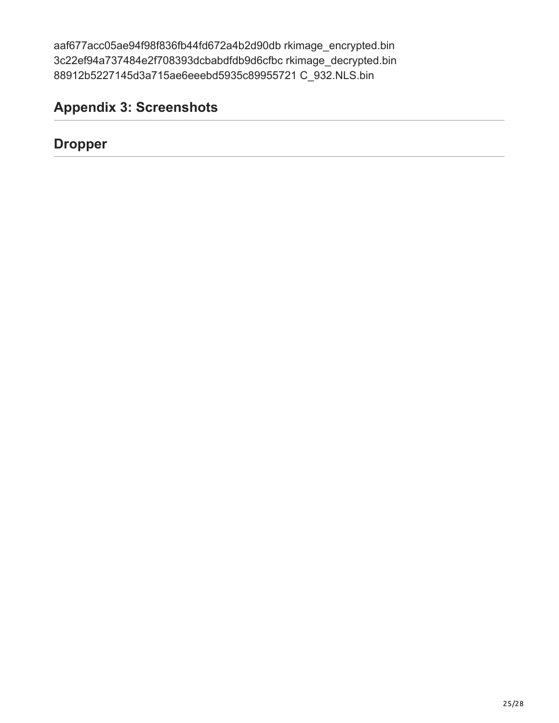aaf677acc05ae94f98f836fb44fd672a4b2d90db rkimage\_encrypted.bin 3c22ef94a737484e2f708393dcbabdfdb9d6cfbc rkimage\_decrypted.bin 88912b5227145d3a715ae6eeebd5935c89955721 C\_932.NLS.bin

## **Appendix 3: Screenshots**

### **Dropper**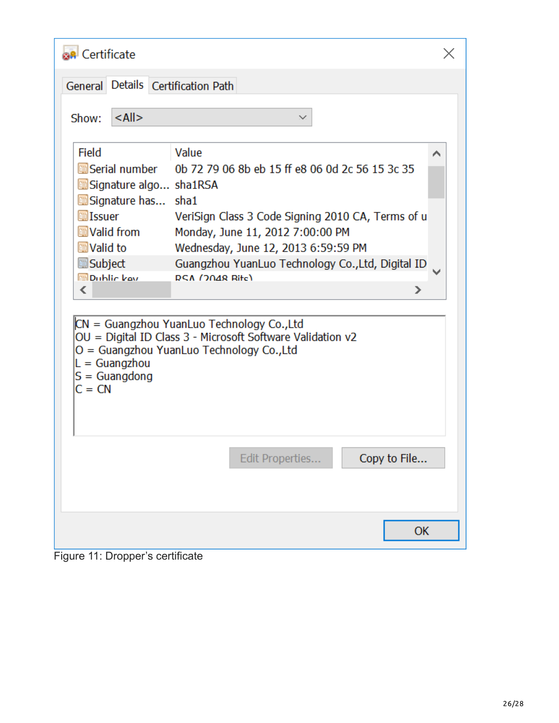| <b>BR</b> Certificate                                                                                                                                                                                         |                                                                                                                                                                                                                                                                                                                                                                                                                                      |   |
|---------------------------------------------------------------------------------------------------------------------------------------------------------------------------------------------------------------|--------------------------------------------------------------------------------------------------------------------------------------------------------------------------------------------------------------------------------------------------------------------------------------------------------------------------------------------------------------------------------------------------------------------------------------|---|
| General Details Certification Path                                                                                                                                                                            |                                                                                                                                                                                                                                                                                                                                                                                                                                      |   |
| $<$ All $>$<br>Show:                                                                                                                                                                                          |                                                                                                                                                                                                                                                                                                                                                                                                                                      |   |
| Field<br>圖Serial number<br>Signature algo sha1RSA<br>Signature has sha1<br>圖Issuer<br><b>Avalid from</b><br>圖Valid to<br>圖Subject<br><b>Dublic key</b><br>∢<br>$L =$ Guangzhou<br>$S =$ Guangdong<br>$C = CN$ | Value<br>0b 72 79 06 8b eb 15 ff e8 06 0d 2c 56 15 3c 35<br>VeriSign Class 3 Code Signing 2010 CA, Terms of u<br>Monday, June 11, 2012 7:00:00 PM<br>Wednesday, June 12, 2013 6:59:59 PM<br>Guangzhou YuanLuo Technology Co., Ltd, Digital ID<br><b>RSA (2048 Rite)</b><br>⋗<br>CN = Guangzhou YuanLuo Technology Co., Ltd<br>OU = Digital ID Class 3 - Microsoft Software Validation v2<br>O = Guangzhou YuanLuo Technology Co.,Ltd | ⌒ |
|                                                                                                                                                                                                               | Edit Properties<br>Copy to File                                                                                                                                                                                                                                                                                                                                                                                                      |   |
|                                                                                                                                                                                                               | OK                                                                                                                                                                                                                                                                                                                                                                                                                                   |   |

Figure 11: Dropper's certificate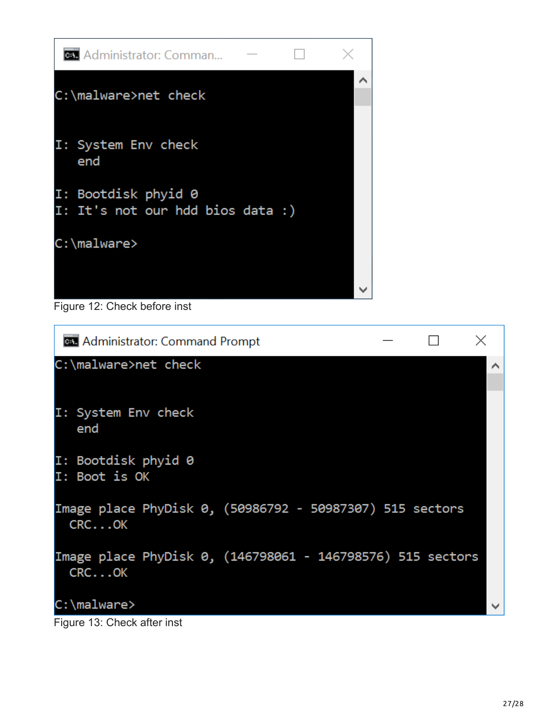

Figure 12: Check before inst

| <b>GET</b> Administrator: Command Prompt                             |  |
|----------------------------------------------------------------------|--|
| C:\malware>net check                                                 |  |
| I: System Env check<br>end                                           |  |
| I: Bootdisk phyid 0<br>I: Boot is OK                                 |  |
| Image place PhyDisk 0, (50986792 - 50987307) 515 sectors<br>$CRC$ OK |  |
| Image place PhyDisk 0, (146798061 - 146798576) 515 sectors<br>CRCOK  |  |
| C:\malware>                                                          |  |

Figure 13: Check after inst